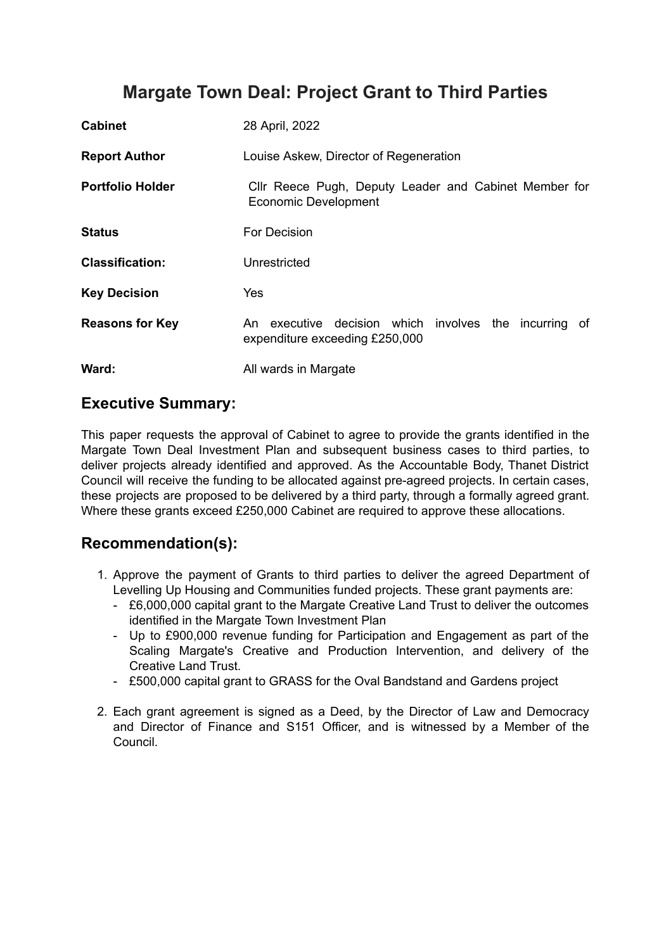# **Margate Town Deal: Project Grant to Third Parties**

| <b>Cabinet</b>          | 28 April, 2022                                                                                |
|-------------------------|-----------------------------------------------------------------------------------------------|
| <b>Report Author</b>    | Louise Askew, Director of Regeneration                                                        |
| <b>Portfolio Holder</b> | Cllr Reece Pugh, Deputy Leader and Cabinet Member for<br><b>Economic Development</b>          |
| <b>Status</b>           | For Decision                                                                                  |
| <b>Classification:</b>  | Unrestricted                                                                                  |
| <b>Key Decision</b>     | Yes                                                                                           |
| <b>Reasons for Key</b>  | executive decision which involves the incurring<br>An<br>of<br>expenditure exceeding £250,000 |
| Ward:                   | All wards in Margate                                                                          |

## **Executive Summary:**

This paper requests the approval of Cabinet to agree to provide the grants identified in the Margate Town Deal Investment Plan and subsequent business cases to third parties, to deliver projects already identified and approved. As the Accountable Body, Thanet District Council will receive the funding to be allocated against pre-agreed projects. In certain cases, these projects are proposed to be delivered by a third party, through a formally agreed grant. Where these grants exceed £250,000 Cabinet are required to approve these allocations.

## **Recommendation(s):**

- 1. Approve the payment of Grants to third parties to deliver the agreed Department of Levelling Up Housing and Communities funded projects. These grant payments are:
	- £6,000,000 capital grant to the Margate Creative Land Trust to deliver the outcomes identified in the Margate Town Investment Plan
	- Up to £900,000 revenue funding for Participation and Engagement as part of the Scaling Margate's Creative and Production Intervention, and delivery of the Creative Land Trust.
	- £500,000 capital grant to GRASS for the Oval Bandstand and Gardens project
- 2. Each grant agreement is signed as a Deed, by the Director of Law and Democracy and Director of Finance and S151 Officer, and is witnessed by a Member of the Council.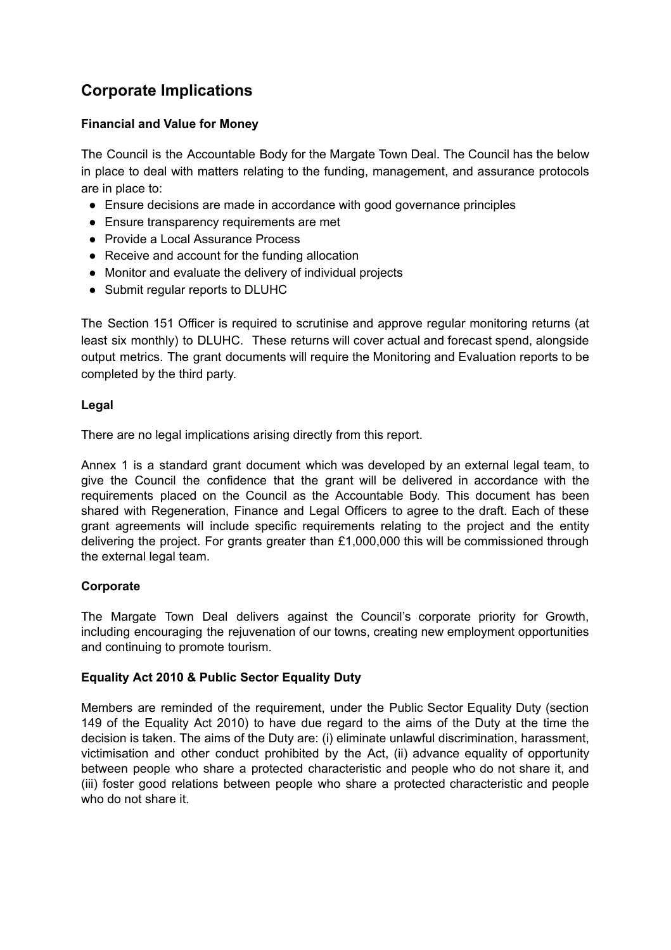## **Corporate Implications**

#### **Financial and Value for Money**

The Council is the Accountable Body for the Margate Town Deal. The Council has the below in place to deal with matters relating to the funding, management, and assurance protocols are in place to:

- Ensure decisions are made in accordance with good governance principles
- Ensure transparency requirements are met
- Provide a Local Assurance Process
- Receive and account for the funding allocation
- Monitor and evaluate the delivery of individual projects
- Submit regular reports to DLUHC

The Section 151 Officer is required to scrutinise and approve regular monitoring returns (at least six monthly) to DLUHC. These returns will cover actual and forecast spend, alongside output metrics. The grant documents will require the Monitoring and Evaluation reports to be completed by the third party.

#### **Legal**

There are no legal implications arising directly from this report.

Annex 1 is a standard grant document which was developed by an external legal team, to give the Council the confidence that the grant will be delivered in accordance with the requirements placed on the Council as the Accountable Body. This document has been shared with Regeneration, Finance and Legal Officers to agree to the draft. Each of these grant agreements will include specific requirements relating to the project and the entity delivering the project. For grants greater than £1,000,000 this will be commissioned through the external legal team.

#### **Corporate**

The Margate Town Deal delivers against the Council's corporate priority for Growth, including encouraging the rejuvenation of our towns, creating new employment opportunities and continuing to promote tourism.

#### **Equality Act 2010 & Public Sector Equality Duty**

Members are reminded of the requirement, under the Public Sector Equality Duty (section 149 of the Equality Act 2010) to have due regard to the aims of the Duty at the time the decision is taken. The aims of the Duty are: (i) eliminate unlawful discrimination, harassment, victimisation and other conduct prohibited by the Act, (ii) advance equality of opportunity between people who share a protected characteristic and people who do not share it, and (iii) foster good relations between people who share a protected characteristic and people who do not share it.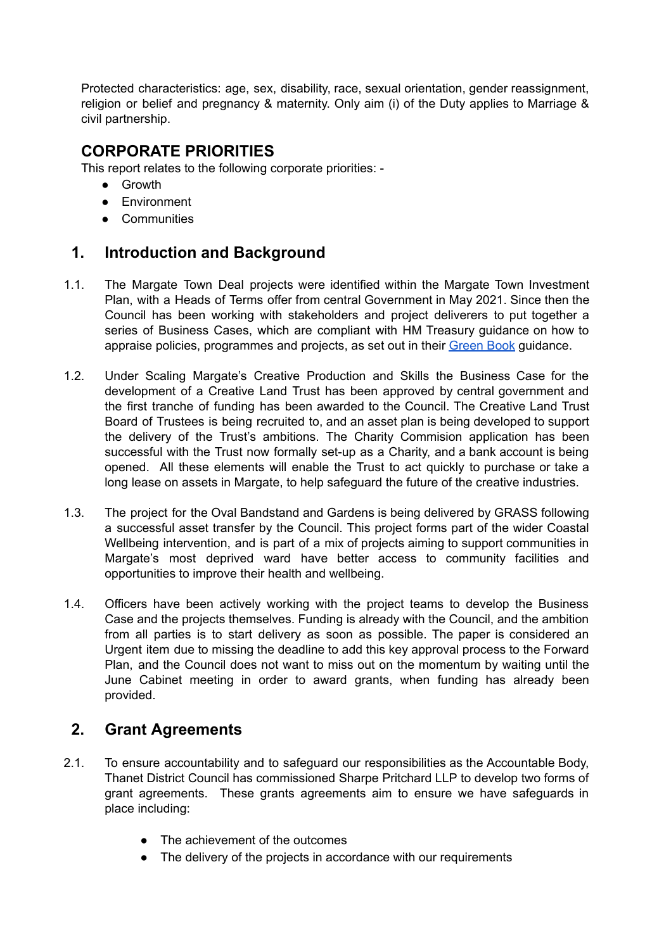Protected characteristics: age, sex, disability, race, sexual orientation, gender reassignment, religion or belief and pregnancy & maternity. Only aim (i) of the Duty applies to Marriage & civil partnership.

## **CORPORATE PRIORITIES**

This report relates to the following corporate priorities: -

- Growth
- Environment
- Communities

## **1. Introduction and Background**

- 1.1. The Margate Town Deal projects were identified within the Margate Town Investment Plan, with a Heads of Terms offer from central Government in May 2021. Since then the Council has been working with stakeholders and project deliverers to put together a series of Business Cases, which are compliant with HM Treasury guidance on how to appraise policies, programmes and projects, as set out in their [Green](https://www.gov.uk/government/publications/the-green-book-appraisal-and-evaluation-in-central-governent) Book guidance.
- 1.2. Under Scaling Margate's Creative Production and Skills the Business Case for the development of a Creative Land Trust has been approved by central government and the first tranche of funding has been awarded to the Council. The Creative Land Trust Board of Trustees is being recruited to, and an asset plan is being developed to support the delivery of the Trust's ambitions. The Charity Commision application has been successful with the Trust now formally set-up as a Charity, and a bank account is being opened. All these elements will enable the Trust to act quickly to purchase or take a long lease on assets in Margate, to help safeguard the future of the creative industries.
- 1.3. The project for the Oval Bandstand and Gardens is being delivered by GRASS following a successful asset transfer by the Council. This project forms part of the wider Coastal Wellbeing intervention, and is part of a mix of projects aiming to support communities in Margate's most deprived ward have better access to community facilities and opportunities to improve their health and wellbeing.
- 1.4. Officers have been actively working with the project teams to develop the Business Case and the projects themselves. Funding is already with the Council, and the ambition from all parties is to start delivery as soon as possible. The paper is considered an Urgent item due to missing the deadline to add this key approval process to the Forward Plan, and the Council does not want to miss out on the momentum by waiting until the June Cabinet meeting in order to award grants, when funding has already been provided.

## **2. Grant Agreements**

- 2.1. To ensure accountability and to safeguard our responsibilities as the Accountable Body, Thanet District Council has commissioned Sharpe Pritchard LLP to develop two forms of grant agreements. These grants agreements aim to ensure we have safeguards in place including:
	- The achievement of the outcomes
	- The delivery of the projects in accordance with our requirements